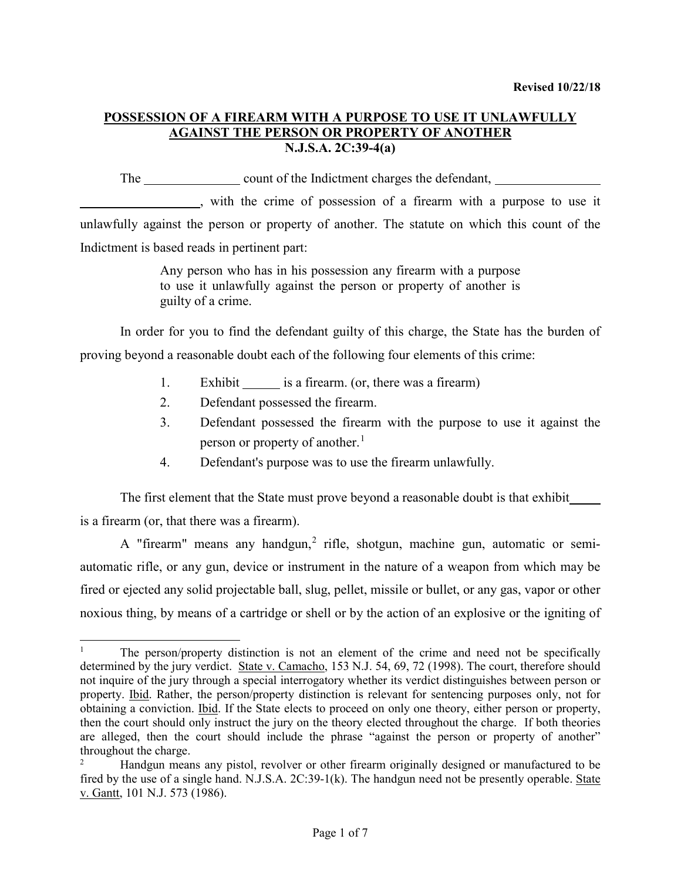The count of the Indictment charges the defendant,

, with the crime of possession of a firearm with a purpose to use it unlawfully against the person or property of another. The statute on which this count of the Indictment is based reads in pertinent part:

> Any person who has in his possession any firearm with a purpose to use it unlawfully against the person or property of another is guilty of a crime.

In order for you to find the defendant guilty of this charge, the State has the burden of proving beyond a reasonable doubt each of the following four elements of this crime:

- 1. Exhibit is a firearm. (or, there was a firearm)
- 2. Defendant possessed the firearm.
- 3. Defendant possessed the firearm with the purpose to use it against the person or property of another.<sup>[1](#page-0-0)</sup>
- 4. Defendant's purpose was to use the firearm unlawfully.

The first element that the State must prove beyond a reasonable doubt is that exhibit is a firearm (or, that there was a firearm).

A "firearm" means any handgun, $2$  rifle, shotgun, machine gun, automatic or semiautomatic rifle, or any gun, device or instrument in the nature of a weapon from which may be fired or ejected any solid projectable ball, slug, pellet, missile or bullet, or any gas, vapor or other noxious thing, by means of a cartridge or shell or by the action of an explosive or the igniting of

<span id="page-0-0"></span> <sup>1</sup> The person/property distinction is not an element of the crime and need not be specifically determined by the jury verdict. State v. Camacho, 153 N.J. 54, 69, 72 (1998). The court, therefore should not inquire of the jury through a special interrogatory whether its verdict distinguishes between person or property. Ibid. Rather, the person/property distinction is relevant for sentencing purposes only, not for obtaining a conviction. Ibid. If the State elects to proceed on only one theory, either person or property, then the court should only instruct the jury on the theory elected throughout the charge. If both theories are alleged, then the court should include the phrase "against the person or property of another" throughout the charge.

<span id="page-0-1"></span>Handgun means any pistol, revolver or other firearm originally designed or manufactured to be fired by the use of a single hand. N.J.S.A. 2C:39-1(k). The handgun need not be presently operable. State v. Gantt, 101 N.J. 573 (1986).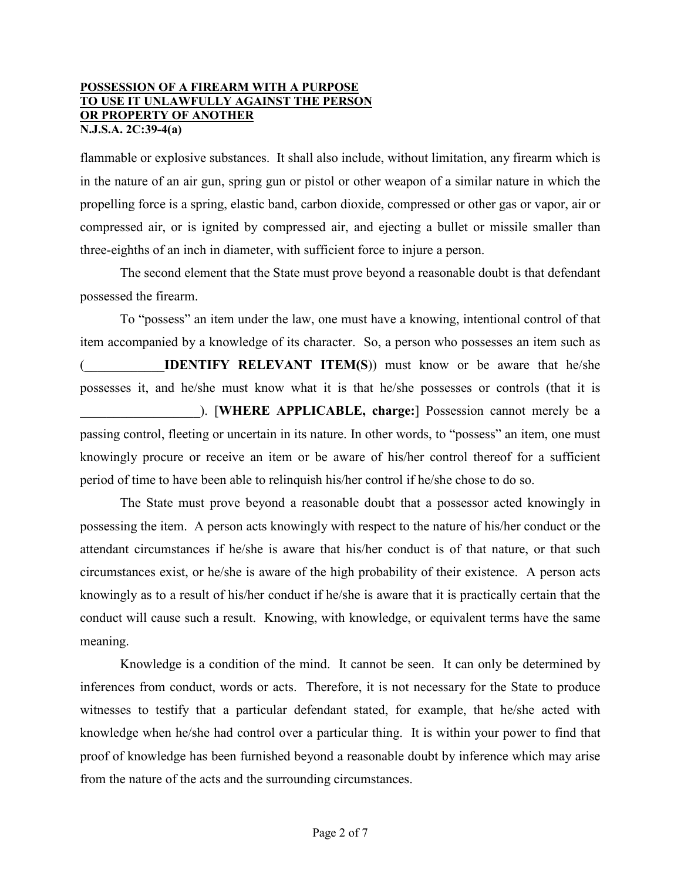flammable or explosive substances. It shall also include, without limitation, any firearm which is in the nature of an air gun, spring gun or pistol or other weapon of a similar nature in which the propelling force is a spring, elastic band, carbon dioxide, compressed or other gas or vapor, air or compressed air, or is ignited by compressed air, and ejecting a bullet or missile smaller than three-eighths of an inch in diameter, with sufficient force to injure a person.

The second element that the State must prove beyond a reasonable doubt is that defendant possessed the firearm.

To "possess" an item under the law, one must have a knowing, intentional control of that item accompanied by a knowledge of its character. So, a person who possesses an item such as **IDENTIFY RELEVANT ITEM(S))** must know or be aware that he/she possesses it, and he/she must know what it is that he/she possesses or controls (that it is \_\_\_\_\_\_\_\_\_\_\_\_\_\_\_\_\_\_). [**WHERE APPLICABLE, charge:**] Possession cannot merely be a passing control, fleeting or uncertain in its nature. In other words, to "possess" an item, one must knowingly procure or receive an item or be aware of his/her control thereof for a sufficient period of time to have been able to relinquish his/her control if he/she chose to do so.

The State must prove beyond a reasonable doubt that a possessor acted knowingly in possessing the item. A person acts knowingly with respect to the nature of his/her conduct or the attendant circumstances if he/she is aware that his/her conduct is of that nature, or that such circumstances exist, or he/she is aware of the high probability of their existence. A person acts knowingly as to a result of his/her conduct if he/she is aware that it is practically certain that the conduct will cause such a result. Knowing, with knowledge, or equivalent terms have the same meaning.

Knowledge is a condition of the mind. It cannot be seen. It can only be determined by inferences from conduct, words or acts. Therefore, it is not necessary for the State to produce witnesses to testify that a particular defendant stated, for example, that he/she acted with knowledge when he/she had control over a particular thing. It is within your power to find that proof of knowledge has been furnished beyond a reasonable doubt by inference which may arise from the nature of the acts and the surrounding circumstances.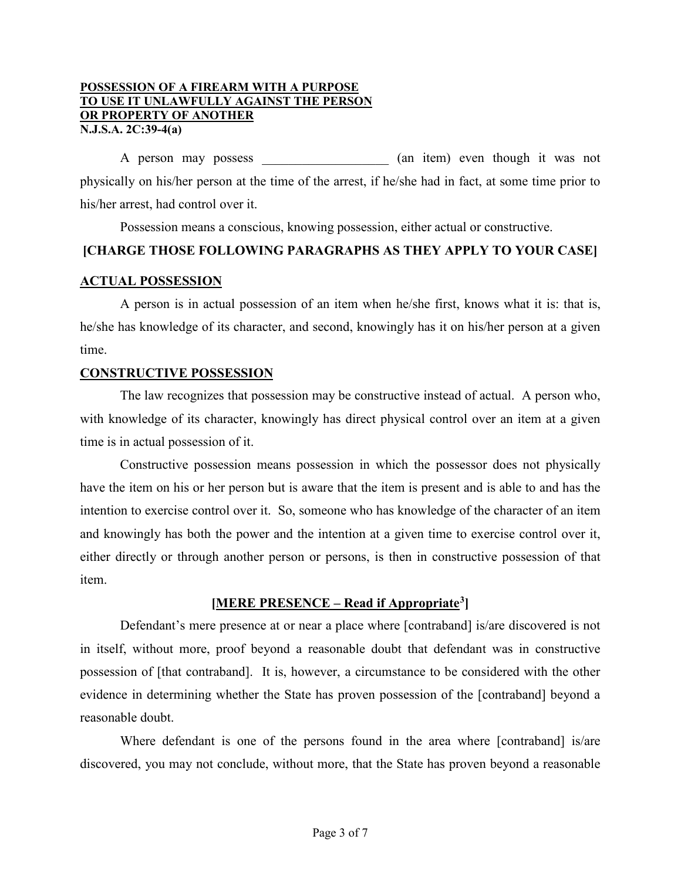A person may possess (an item) even though it was not physically on his/her person at the time of the arrest, if he/she had in fact, at some time prior to his/her arrest, had control over it.

Possession means a conscious, knowing possession, either actual or constructive.

# **[CHARGE THOSE FOLLOWING PARAGRAPHS AS THEY APPLY TO YOUR CASE]**

### **ACTUAL POSSESSION**

A person is in actual possession of an item when he/she first, knows what it is: that is, he/she has knowledge of its character, and second, knowingly has it on his/her person at a given time.

#### **CONSTRUCTIVE POSSESSION**

The law recognizes that possession may be constructive instead of actual. A person who, with knowledge of its character, knowingly has direct physical control over an item at a given time is in actual possession of it.

Constructive possession means possession in which the possessor does not physically have the item on his or her person but is aware that the item is present and is able to and has the intention to exercise control over it. So, someone who has knowledge of the character of an item and knowingly has both the power and the intention at a given time to exercise control over it, either directly or through another person or persons, is then in constructive possession of that item.

### **[MERE PRESENCE – Read if Appropriate[3\]](#page-2-0)**

<span id="page-2-0"></span>Defendant's mere presence at or near a place where [contraband] is/are discovered is not in itself, without more, proof beyond a reasonable doubt that defendant was in constructive possession of [that contraband]. It is, however, a circumstance to be considered with the other evidence in determining whether the State has proven possession of the [contraband] beyond a reasonable doubt.

Where defendant is one of the persons found in the area where [contraband] is/are discovered, you may not conclude, without more, that the State has proven beyond a reasonable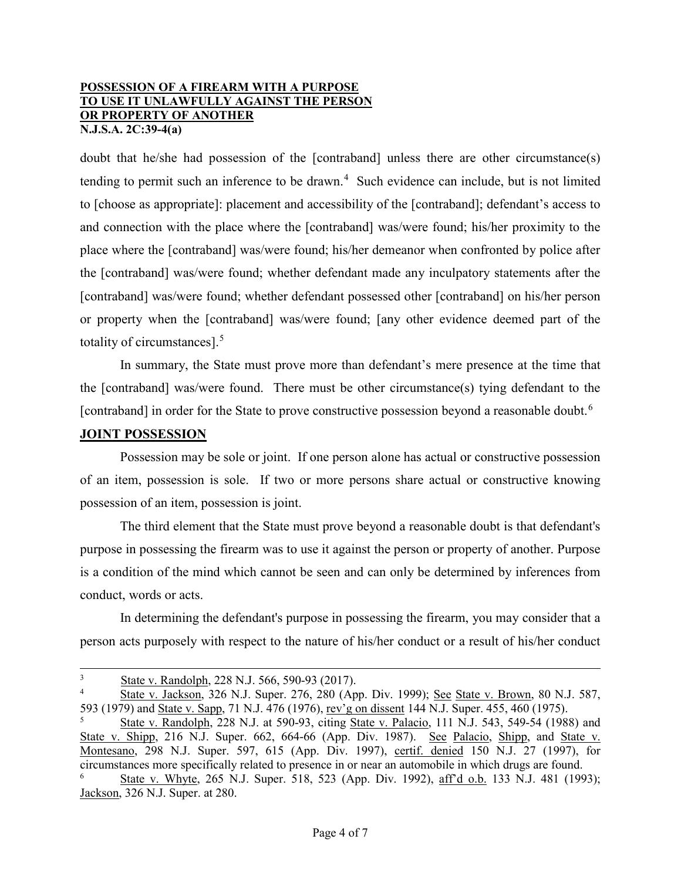doubt that he/she had possession of the [contraband] unless there are other circumstance(s) tending to permit such an inference to be drawn.<sup>[4](#page-3-0)</sup> Such evidence can include, but is not limited to [choose as appropriate]: placement and accessibility of the [contraband]; defendant's access to and connection with the place where the [contraband] was/were found; his/her proximity to the place where the [contraband] was/were found; his/her demeanor when confronted by police after the [contraband] was/were found; whether defendant made any inculpatory statements after the [contraband] was/were found; whether defendant possessed other [contraband] on his/her person or property when the [contraband] was/were found; [any other evidence deemed part of the totality of circumstances].<sup>[5](#page-3-1)</sup>

In summary, the State must prove more than defendant's mere presence at the time that the [contraband] was/were found. There must be other circumstance(s) tying defendant to the [contraband] in order for the State to prove constructive possession beyond a reasonable doubt.<sup>[6](#page-3-2)</sup>

## **JOINT POSSESSION**

Possession may be sole or joint. If one person alone has actual or constructive possession of an item, possession is sole. If two or more persons share actual or constructive knowing possession of an item, possession is joint.

The third element that the State must prove beyond a reasonable doubt is that defendant's purpose in possessing the firearm was to use it against the person or property of another. Purpose is a condition of the mind which cannot be seen and can only be determined by inferences from conduct, words or acts.

In determining the defendant's purpose in possessing the firearm, you may consider that a person acts purposely with respect to the nature of his/her conduct or a result of his/her conduct

 <sup>3</sup> <sup>3</sup> State v. Randolph, 228 N.J. 566, 590-93 (2017).

<span id="page-3-0"></span><sup>4</sup> State v. Jackson, 326 N.J. Super. 276, 280 (App. Div. 1999); See State v. Brown, 80 N.J. 587, 593 (1979) and State v. Sapp, 71 N.J. 476 (1976), rev'g on dissent 144 N.J. Super. 455, 460 (1975).

<span id="page-3-1"></span><sup>5</sup> State v. Randolph, 228 N.J. at 590-93, citing State v. Palacio, 111 N.J. 543, 549-54 (1988) and State v. Shipp, 216 N.J. Super. 662, 664-66 (App. Div. 1987). See Palacio, Shipp, and State v. Montesano, 298 N.J. Super. 597, 615 (App. Div. 1997), certif. denied 150 N.J. 27 (1997), for circumstances more specifically related to presence in or near an automobile in which drugs are found.

<span id="page-3-2"></span><sup>6</sup> State v. Whyte, 265 N.J. Super. 518, 523 (App. Div. 1992), aff'd o.b. 133 N.J. 481 (1993); Jackson, 326 N.J. Super. at 280.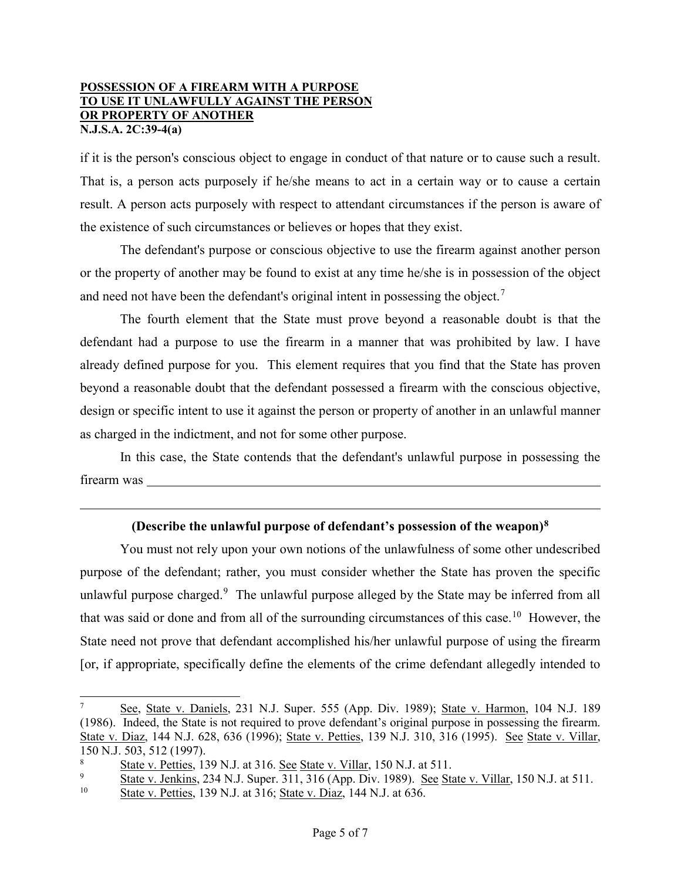if it is the person's conscious object to engage in conduct of that nature or to cause such a result. That is, a person acts purposely if he/she means to act in a certain way or to cause a certain result. A person acts purposely with respect to attendant circumstances if the person is aware of the existence of such circumstances or believes or hopes that they exist.

The defendant's purpose or conscious objective to use the firearm against another person or the property of another may be found to exist at any time he/she is in possession of the object and need not have been the defendant's original intent in possessing the object.<sup>[7](#page-4-0)</sup>

The fourth element that the State must prove beyond a reasonable doubt is that the defendant had a purpose to use the firearm in a manner that was prohibited by law. I have already defined purpose for you. This element requires that you find that the State has proven beyond a reasonable doubt that the defendant possessed a firearm with the conscious objective, design or specific intent to use it against the person or property of another in an unlawful manner as charged in the indictment, and not for some other purpose.

In this case, the State contends that the defendant's unlawful purpose in possessing the firearm was

# **(Describe the unlawful purpose of defendant's possession of the weapon)[8](#page-4-1)**

You must not rely upon your own notions of the unlawfulness of some other undescribed purpose of the defendant; rather, you must consider whether the State has proven the specific unlawful purpose charged.<sup>[9](#page-4-2)</sup> The unlawful purpose alleged by the State may be inferred from all that was said or done and from all of the surrounding circumstances of this case.<sup>10</sup> However, the State need not prove that defendant accomplished his/her unlawful purpose of using the firearm [or, if appropriate, specifically define the elements of the crime defendant allegedly intended to

<span id="page-4-0"></span>See, State v. Daniels, 231 N.J. Super. 555 (App. Div. 1989); State v. Harmon, 104 N.J. 189 (1986). Indeed, the State is not required to prove defendant's original purpose in possessing the firearm. State v. Diaz, 144 N.J. 628, 636 (1996); State v. Petties, 139 N.J. 310, 316 (1995). See State v. Villar, 150 N.J. 503, 512 (1997).

<span id="page-4-1"></span> $\frac{8}{9}$  State v. Petties, 139 N.J. at 316. See State v. Villar, 150 N.J. at 511.

<span id="page-4-2"></span> $\frac{9}{2}$  State v. Jenkins, 234 N.J. Super. 311, 316 (App. Div. 1989). See State v. Villar, 150 N.J. at 511.

<span id="page-4-3"></span>State v. Petties, 139 N.J. at 316; State v. Diaz, 144 N.J. at 636.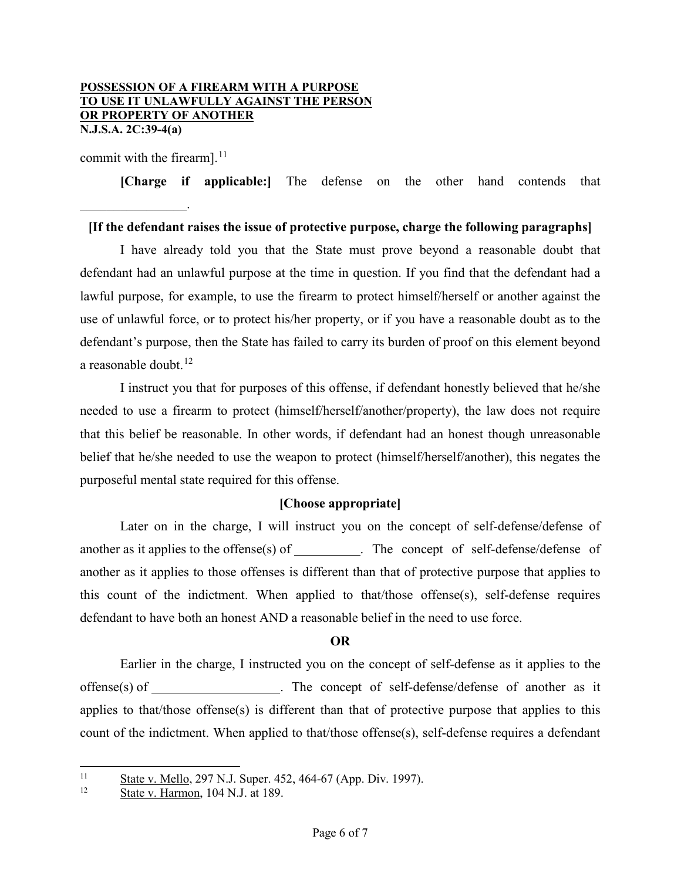commit with the firearm].<sup>[11](#page-5-0)</sup>

 $\mathcal{L}$  , we have the set of  $\mathcal{L}$ 

**[Charge if applicable:]** The defense on the other hand contends that

#### **[If the defendant raises the issue of protective purpose, charge the following paragraphs]**

I have already told you that the State must prove beyond a reasonable doubt that defendant had an unlawful purpose at the time in question. If you find that the defendant had a lawful purpose, for example, to use the firearm to protect himself/herself or another against the use of unlawful force, or to protect his/her property, or if you have a reasonable doubt as to the defendant's purpose, then the State has failed to carry its burden of proof on this element beyond a reasonable doubt. $^{12}$  $^{12}$  $^{12}$ 

I instruct you that for purposes of this offense, if defendant honestly believed that he/she needed to use a firearm to protect (himself/herself/another/property), the law does not require that this belief be reasonable. In other words, if defendant had an honest though unreasonable belief that he/she needed to use the weapon to protect (himself/herself/another), this negates the purposeful mental state required for this offense.

#### **[Choose appropriate]**

Later on in the charge, I will instruct you on the concept of self-defense/defense of another as it applies to the offense(s) of \_\_\_\_\_\_\_\_. The concept of self-defense/defense of another as it applies to those offenses is different than that of protective purpose that applies to this count of the indictment. When applied to that/those offense(s), self-defense requires defendant to have both an honest AND a reasonable belief in the need to use force.

### **OR**

Earlier in the charge, I instructed you on the concept of self-defense as it applies to the offense(s) of \_\_\_\_\_\_\_\_\_\_\_\_\_\_\_\_\_. The concept of self-defense/defense of another as it applies to that/those offense(s) is different than that of protective purpose that applies to this count of the indictment. When applied to that/those offense(s), self-defense requires a defendant

<span id="page-5-1"></span><span id="page-5-0"></span> $\frac{11}{12}$  State v. Mello, 297 N.J. Super. 452, 464-67 (App. Div. 1997).

State v. Harmon, 104 N.J. at 189.